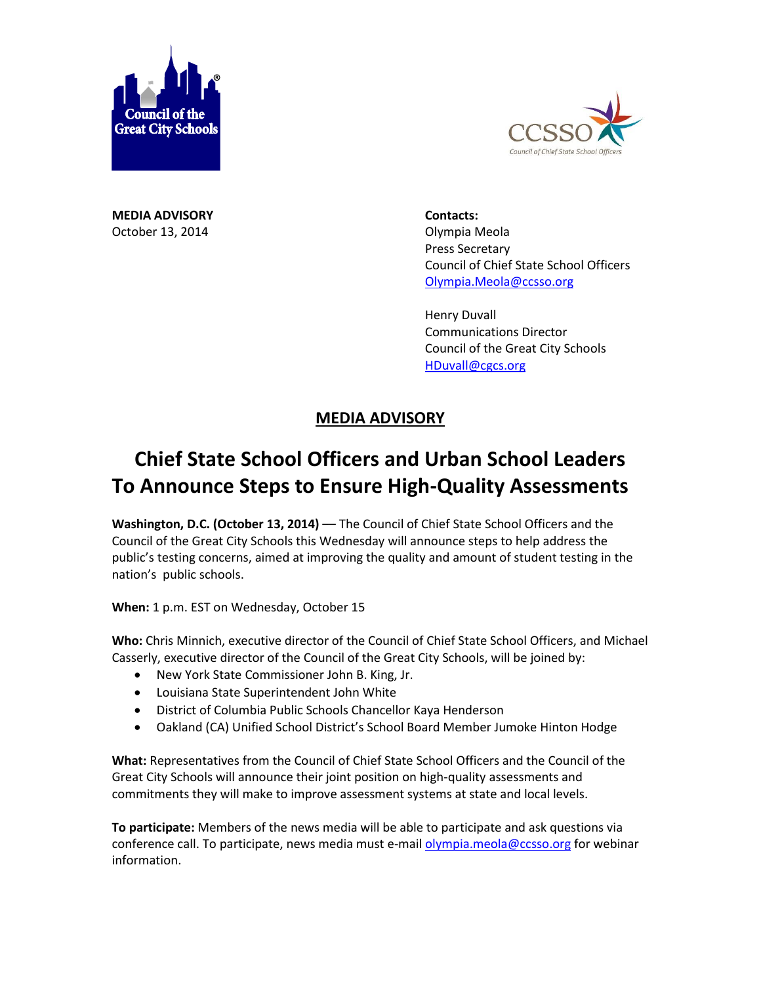



**MEDIA ADVISORY Contacts:** October 13, 2014 **Olympia Meola** 

Press Secretary Council of Chief State School Officers [Olympia.Meola@ccsso.org](mailto:Olympia.Meola@ccsso.org)

Henry Duvall Communications Director Council of the Great City Schools [HDuvall@cgcs.org](mailto:HDuvall@cgcs.org)

## **MEDIA ADVISORY**

## **Chief State School Officers and Urban School Leaders To Announce Steps to Ensure High-Quality Assessments**

Washington, D.C. (October 13, 2014) — The Council of Chief State School Officers and the Council of the Great City Schools this Wednesday will announce steps to help address the public's testing concerns, aimed at improving the quality and amount of student testing in the nation's public schools.

**When:** 1 p.m. EST on Wednesday, October 15

**Who:** Chris Minnich, executive director of the Council of Chief State School Officers, and Michael Casserly, executive director of the Council of the Great City Schools, will be joined by:

- New York State Commissioner John B. King, Jr.
- Louisiana State Superintendent John White
- District of Columbia Public Schools Chancellor Kaya Henderson
- Oakland (CA) Unified School District's School Board Member Jumoke Hinton Hodge

**What:** Representatives from the Council of Chief State School Officers and the Council of the Great City Schools will announce their joint position on high-quality assessments and commitments they will make to improve assessment systems at state and local levels.

**To participate:** Members of the news media will be able to participate and ask questions via conference call. To participate, news media must e-mail [olympia.meola@ccsso.org](mailto:olympia.meola@ccsso.org) for webinar information.